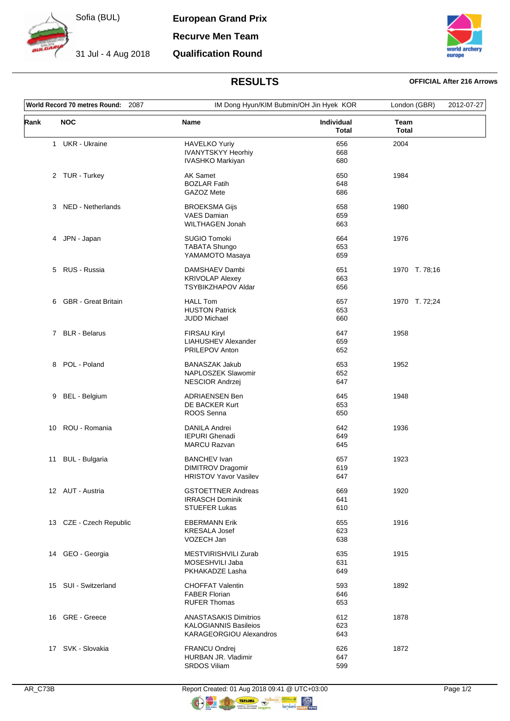

Sofia (BUL)

**European Grand Prix**

**Recurve Men Team**

**Qualification Round**



## **RESULTS OFFICIAL After 216 Arrows**

| World Record 70 metres Round: 2087 |                         |                                                         | IM Dong Hyun/KIM Bubmin/OH Jin Hyek KOR |                      | 2012-07-27 |
|------------------------------------|-------------------------|---------------------------------------------------------|-----------------------------------------|----------------------|------------|
| Rank                               | <b>NOC</b>              | Name                                                    | Individual<br><b>Total</b>              | Team<br><b>Total</b> |            |
|                                    | 1 UKR - Ukraine         | <b>HAVELKO Yuriy</b>                                    | 656                                     | 2004                 |            |
|                                    |                         | <b>IVANYTSKYY Heorhiy</b>                               | 668                                     |                      |            |
|                                    |                         | IVASHKO Markiyan                                        | 680                                     |                      |            |
|                                    | 2 TUR - Turkey          | <b>AK Samet</b>                                         | 650                                     | 1984                 |            |
|                                    |                         | <b>BOZLAR Fatih</b>                                     | 648                                     |                      |            |
|                                    |                         | GAZOZ Mete                                              | 686                                     |                      |            |
|                                    | 3 NED - Netherlands     | <b>BROEKSMA Gijs</b>                                    | 658                                     | 1980                 |            |
|                                    |                         | <b>VAES Damian</b>                                      | 659                                     |                      |            |
|                                    |                         | <b>WILTHAGEN Jonah</b>                                  | 663                                     |                      |            |
| 4                                  | JPN - Japan             | <b>SUGIO Tomoki</b>                                     | 664                                     | 1976                 |            |
|                                    |                         | <b>TABATA Shungo</b>                                    | 653                                     |                      |            |
|                                    |                         | YAMAMOTO Masaya                                         | 659                                     |                      |            |
|                                    | 5 RUS - Russia          | DAMSHAEV Dambi                                          | 651                                     | 1970 T. 78;16        |            |
|                                    |                         | <b>KRIVOLAP Alexey</b>                                  | 663                                     |                      |            |
|                                    |                         | <b>TSYBIKZHAPOV Aldar</b>                               | 656                                     |                      |            |
|                                    |                         |                                                         |                                         |                      |            |
|                                    | 6 GBR - Great Britain   | <b>HALL Tom</b>                                         | 657                                     | 1970 T. 72;24        |            |
|                                    |                         | <b>HUSTON Patrick</b><br><b>JUDD Michael</b>            | 653<br>660                              |                      |            |
|                                    |                         |                                                         |                                         |                      |            |
|                                    | 7 BLR - Belarus         | <b>FIRSAU Kiryl</b>                                     | 647                                     | 1958                 |            |
|                                    |                         | <b>LIAHUSHEV Alexander</b>                              | 659                                     |                      |            |
|                                    |                         | PRILEPOV Anton                                          | 652                                     |                      |            |
| 8                                  | POL - Poland            | <b>BANASZAK Jakub</b>                                   | 653                                     | 1952                 |            |
|                                    |                         | NAPLOSZEK Slawomir                                      | 652                                     |                      |            |
|                                    |                         | NESCIOR Andrzej                                         | 647                                     |                      |            |
| 9                                  | BEL - Belgium           | <b>ADRIAENSEN Ben</b>                                   | 645                                     | 1948                 |            |
|                                    |                         | DE BACKER Kurt                                          | 653                                     |                      |            |
|                                    |                         | ROOS Senna                                              | 650                                     |                      |            |
| 10                                 | ROU - Romania           | <b>DANILA Andrei</b>                                    | 642                                     | 1936                 |            |
|                                    |                         | <b>IEPURI</b> Ghenadi                                   | 649                                     |                      |            |
|                                    |                         | <b>MARCU Razvan</b>                                     | 645                                     |                      |            |
| 11                                 | <b>BUL - Bulgaria</b>   | <b>BANCHEV Ivan</b>                                     | 657                                     | 1923                 |            |
|                                    |                         | <b>DIMITROV Dragomir</b>                                | 619                                     |                      |            |
|                                    |                         | <b>HRISTOV Yavor Vasilev</b>                            | 647                                     |                      |            |
|                                    | 12 AUT - Austria        | <b>GSTOETTNER Andreas</b>                               | 669                                     | 1920                 |            |
|                                    |                         | <b>IRRASCH Dominik</b>                                  | 641                                     |                      |            |
|                                    |                         | <b>STUEFER Lukas</b>                                    | 610                                     |                      |            |
|                                    | 13 CZE - Czech Republic | <b>EBERMANN Erik</b>                                    | 655                                     | 1916                 |            |
|                                    |                         | <b>KRESALA Josef</b>                                    | 623                                     |                      |            |
|                                    |                         | VOZECH Jan                                              | 638                                     |                      |            |
|                                    | 14 GEO - Georgia        | MESTVIRISHVILI Zurab                                    | 635                                     | 1915                 |            |
|                                    |                         | MOSESHVILI Jaba                                         | 631                                     |                      |            |
|                                    |                         | PKHAKADZE Lasha                                         | 649                                     |                      |            |
|                                    |                         |                                                         |                                         |                      |            |
|                                    | 15 SUI - Switzerland    | <b>CHOFFAT Valentin</b><br><b>FABER Florian</b>         | 593<br>646                              | 1892                 |            |
|                                    |                         | <b>RUFER Thomas</b>                                     | 653                                     |                      |            |
|                                    |                         |                                                         |                                         |                      |            |
|                                    | 16 GRE - Greece         | <b>ANASTASAKIS Dimitrios</b>                            | 612                                     | 1878                 |            |
|                                    |                         | <b>KALOGIANNIS Basileios</b><br>KARAGEORGIOU Alexandros | 623<br>643                              |                      |            |
|                                    |                         |                                                         |                                         |                      |            |
|                                    | 17 SVK - Slovakia       | <b>FRANCU Ondrej</b>                                    | 626                                     | 1872                 |            |
|                                    |                         | HURBAN JR. Vladimir                                     | 647                                     |                      |            |
|                                    |                         | SRDOS Viliam                                            | 599                                     |                      |            |

 $\circledR$  nopy to to

 $\bigcirc$